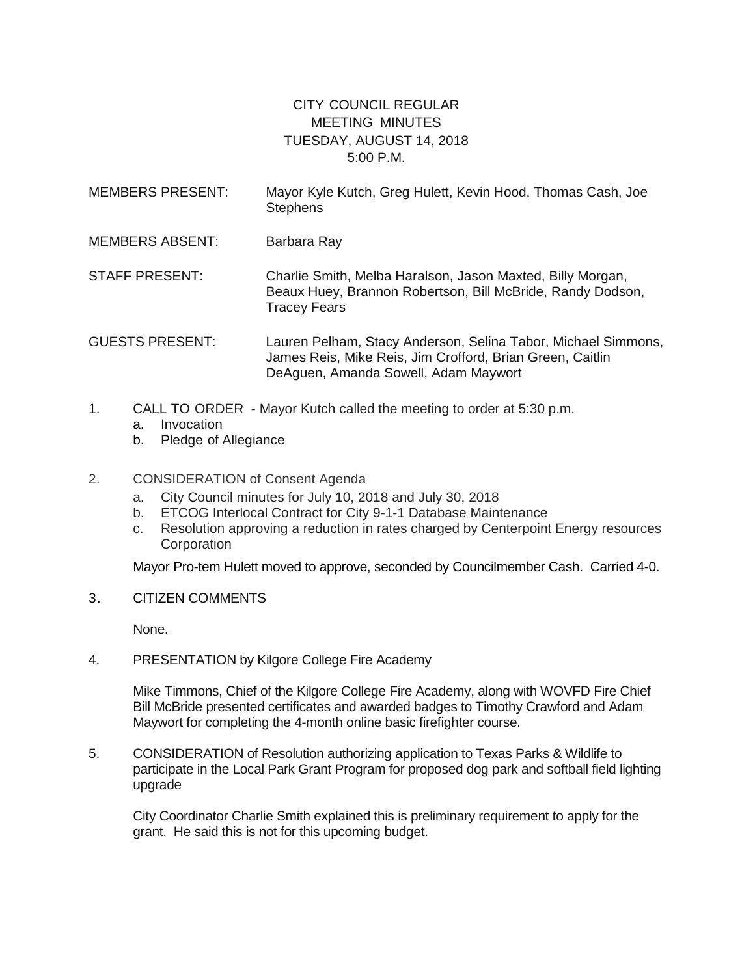## CITY COUNCIL REGULAR MEETING MINUTES TUESDAY, AUGUST 14, 2018 5:00 P.M.

- MEMBERS PRESENT: Mayor Kyle Kutch, Greg Hulett, Kevin Hood, Thomas Cash, Joe **Stephens** MEMBERS ABSENT: Barbara Ray
- STAFF PRESENT: Charlie Smith, Melba Haralson, Jason Maxted, Billy Morgan, Beaux Huey, Brannon Robertson, Bill McBride, Randy Dodson, Tracey Fears
- GUESTS PRESENT: Lauren Pelham, Stacy Anderson, Selina Tabor, Michael Simmons, James Reis, Mike Reis, Jim Crofford, Brian Green, Caitlin DeAguen, Amanda Sowell, Adam Maywort
- 1. CALL TO ORDER Mayor Kutch called the meeting to order at 5:30 p.m.
	- a. Invocation
	- b. Pledge of Allegiance
- 2. CONSIDERATION of Consent Agenda
	- a. City Council minutes for July 10, 2018 and July 30, 2018
	- b. ETCOG Interlocal Contract for City 9-1-1 Database Maintenance
	- c. Resolution approving a reduction in rates charged by Centerpoint Energy resources **Corporation**

Mayor Pro-tem Hulett moved to approve, seconded by Councilmember Cash. Carried 4-0.

3. CITIZEN COMMENTS

None.

4. PRESENTATION by Kilgore College Fire Academy

Mike Timmons, Chief of the Kilgore College Fire Academy, along with WOVFD Fire Chief Bill McBride presented certificates and awarded badges to Timothy Crawford and Adam Maywort for completing the 4-month online basic firefighter course.

5. CONSIDERATION of Resolution authorizing application to Texas Parks & Wildlife to participate in the Local Park Grant Program for proposed dog park and softball field lighting upgrade

City Coordinator Charlie Smith explained this is preliminary requirement to apply for the grant. He said this is not for this upcoming budget.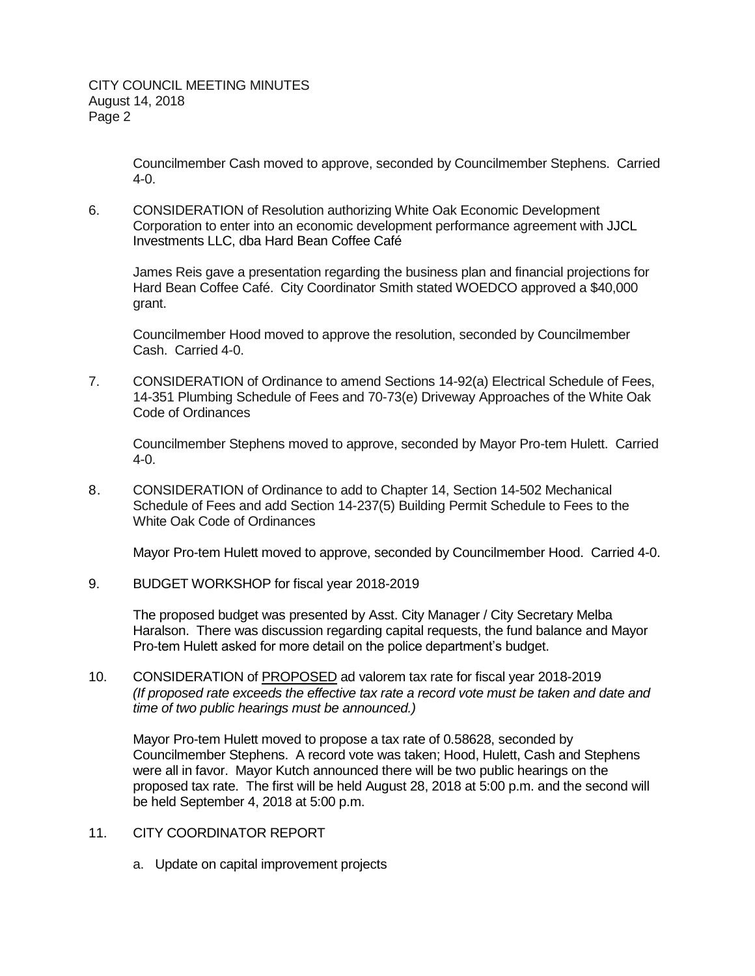Councilmember Cash moved to approve, seconded by Councilmember Stephens. Carried 4-0.

6. CONSIDERATION of Resolution authorizing White Oak Economic Development Corporation to enter into an economic development performance agreement with JJCL Investments LLC, dba Hard Bean Coffee Café

James Reis gave a presentation regarding the business plan and financial projections for Hard Bean Coffee Café. City Coordinator Smith stated WOEDCO approved a \$40,000 grant.

Councilmember Hood moved to approve the resolution, seconded by Councilmember Cash. Carried 4-0.

7. CONSIDERATION of Ordinance to amend Sections 14-92(a) Electrical Schedule of Fees, 14-351 Plumbing Schedule of Fees and 70-73(e) Driveway Approaches of the White Oak Code of Ordinances

Councilmember Stephens moved to approve, seconded by Mayor Pro-tem Hulett. Carried 4-0.

8. CONSIDERATION of Ordinance to add to Chapter 14, Section 14-502 Mechanical Schedule of Fees and add Section 14-237(5) Building Permit Schedule to Fees to the White Oak Code of Ordinances

Mayor Pro-tem Hulett moved to approve, seconded by Councilmember Hood. Carried 4-0.

9. BUDGET WORKSHOP for fiscal year 2018-2019

The proposed budget was presented by Asst. City Manager / City Secretary Melba Haralson. There was discussion regarding capital requests, the fund balance and Mayor Pro-tem Hulett asked for more detail on the police department's budget.

10. CONSIDERATION of PROPOSED ad valorem tax rate for fiscal year 2018-2019 *(If proposed rate exceeds the effective tax rate a record vote must be taken and date and time of two public hearings must be announced.)*

Mayor Pro-tem Hulett moved to propose a tax rate of 0.58628, seconded by Councilmember Stephens. A record vote was taken; Hood, Hulett, Cash and Stephens were all in favor. Mayor Kutch announced there will be two public hearings on the proposed tax rate. The first will be held August 28, 2018 at 5:00 p.m. and the second will be held September 4, 2018 at 5:00 p.m.

- 11. CITY COORDINATOR REPORT
	- a. Update on capital improvement projects